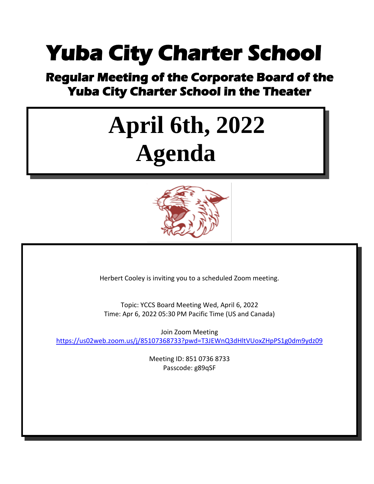### **Yuba City Charter School**

## **Regular Meeting of the Corporate Board of the Yuba City Charter School in the Theater**

# **April 6th, 2022 Agenda**



Herbert Cooley is inviting you to a scheduled Zoom meeting.

Topic: YCCS Board Meeting Wed, April 6, 2022 Time: Apr 6, 2022 05:30 PM Pacific Time (US and Canada)

Join Zoom Meeting <https://us02web.zoom.us/j/85107368733?pwd=T3JEWnQ3dHltVUoxZHpPS1g0dm9ydz09>

> Meeting ID: 851 0736 8733 Passcode: g89qSF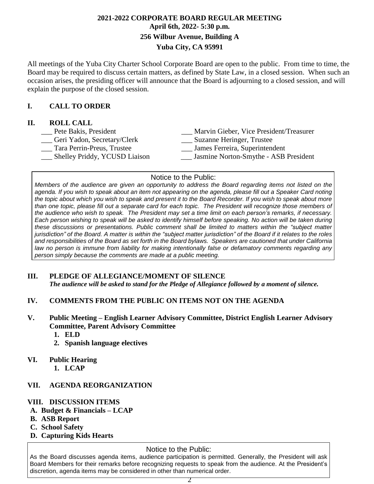#### **2021-2022 CORPORATE BOARD REGULAR MEETING April 6th, 2022- 5:30 p.m. 256 Wilbur Avenue, Building A Yuba City, CA 95991**

All meetings of the Yuba City Charter School Corporate Board are open to the public. From time to time, the Board may be required to discuss certain matters, as defined by State Law, in a closed session. When such an occasion arises, the presiding officer will announce that the Board is adjourning to a closed session, and will explain the purpose of the closed session.

#### **I. CALL TO ORDER**

#### **II. ROLL CALL**

| Pete Bakis, President         | Marvin Gieber, Vice President/Treasurer |
|-------------------------------|-----------------------------------------|
| Geri Yadon, Secretary/Clerk   | Suzanne Heringer, Trustee               |
| Tara Perrin-Preus, Trustee    | James Ferreira, Superintendent          |
| Shelley Priddy, YCUSD Liaison | Jasmine Norton-Smythe - ASB President   |
|                               |                                         |

#### Notice to the Public:

Members of the audience are given an opportunity to address the Board regarding items not listed on the agenda. If you wish to speak about an item not appearing on the agenda, please fill out a Speaker Card noting the topic about which you wish to speak and present it to the Board Recorder. If you wish to speak about more than one topic, please fill out a separate card for each topic. The President will recognize those members of the audience who wish to speak. The President may set a time limit on each person's remarks, if necessary. Each person wishing to speak will be asked to identify himself before speaking. No action will be taken during *these discussions or presentations. Public comment shall be limited to matters within the "subject matter* jurisdiction" of the Board. A matter is within the "subject matter jurisdiction" of the Board if it relates to the roles and responsibilities of the Board as set forth in the Board bylaws. Speakers are cautioned that under California *law no person is immune from liability for making intentionally false or defamatory comments regarding any person simply because the comments are made at a public meeting.*

#### **III. PLEDGE OF ALLEGIANCE/MOMENT OF SILENCE**

*The audience will be asked to stand for the Pledge of Allegiance followed by a moment of silence.*

- **IV. COMMENTS FROM THE PUBLIC ON ITEMS NOT ON THE AGENDA**
- **V. Public Meeting – English Learner Advisory Committee, District English Learner Advisory Committee, Parent Advisory Committee**
	- **1. ELD**
	- **2. Spanish language electives**

#### **VI. Public Hearing**

**1. LCAP**

#### **VII. AGENDA REORGANIZATION**

#### **VIII. DISCUSSION ITEMS**

- **A. Budget & Financials – LCAP**
- **B. ASB Report**
- **C. School Safety**
- **D. Capturing Kids Hearts**

#### Notice to the Public:

As the Board discusses agenda items, audience participation is permitted. Generally, the President will ask Board Members for their remarks before recognizing requests to speak from the audience. At the President's discretion, agenda items may be considered in other than numerical order.